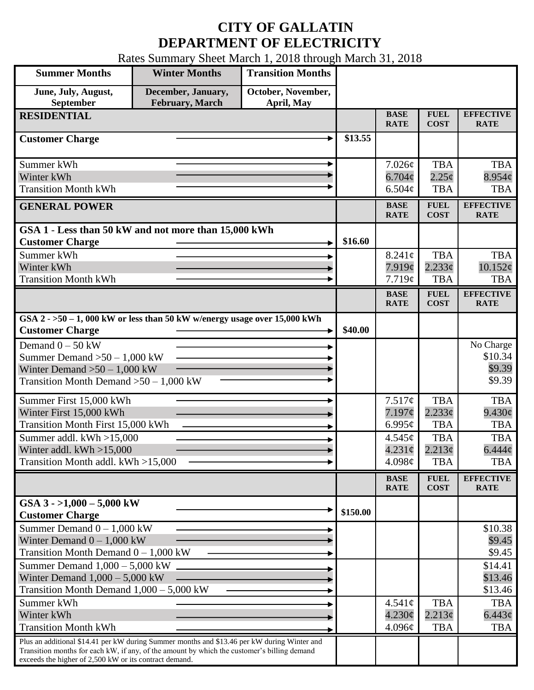## **CITY OF GALLATIN DEPARTMENT OF ELECTRICITY**

Rates Summary Sheet March 1, 2018 through March 31, 2018

| <b>Summer Months</b>                                                                                                                                  | <b>Winter Months</b>                         | <b>Transition Months</b>         |          |                            |                            |                                 |
|-------------------------------------------------------------------------------------------------------------------------------------------------------|----------------------------------------------|----------------------------------|----------|----------------------------|----------------------------|---------------------------------|
| June, July, August,<br>September                                                                                                                      | December, January,<br><b>February, March</b> | October, November,<br>April, May |          |                            |                            |                                 |
| <b>RESIDENTIAL</b>                                                                                                                                    |                                              |                                  |          | <b>BASE</b><br><b>RATE</b> | <b>FUEL</b><br><b>COST</b> | <b>EFFECTIVE</b><br><b>RATE</b> |
| <b>Customer Charge</b>                                                                                                                                |                                              |                                  | \$13.55  |                            |                            |                                 |
| Summer kWh                                                                                                                                            |                                              |                                  |          | 7.026c                     | <b>TBA</b>                 | <b>TBA</b>                      |
| Winter kWh                                                                                                                                            |                                              |                                  |          | $6.704\phi$                | $2.25\epsilon$             | $8.954\phi$                     |
| <b>Transition Month kWh</b>                                                                                                                           |                                              |                                  |          | $6.504\mathcal{C}$         | <b>TBA</b>                 | <b>TBA</b>                      |
| <b>GENERAL POWER</b>                                                                                                                                  |                                              |                                  |          | <b>BASE</b><br><b>RATE</b> | <b>FUEL</b><br><b>COST</b> | <b>EFFECTIVE</b><br><b>RATE</b> |
| GSA 1 - Less than 50 kW and not more than 15,000 kWh                                                                                                  |                                              |                                  |          |                            |                            |                                 |
| <b>Customer Charge</b>                                                                                                                                |                                              |                                  | \$16.60  |                            |                            |                                 |
| Summer kWh                                                                                                                                            |                                              |                                  |          | $8.241\phi$                | <b>TBA</b><br>2.233¢       | <b>TBA</b><br>10.152¢           |
| Winter kWh<br><b>Transition Month kWh</b>                                                                                                             |                                              |                                  |          | 7.919¢<br>7.719¢           | <b>TBA</b>                 | <b>TBA</b>                      |
|                                                                                                                                                       |                                              |                                  |          | <b>BASE</b>                | <b>FUEL</b>                | <b>EFFECTIVE</b>                |
|                                                                                                                                                       |                                              |                                  |          | <b>RATE</b>                | <b>COST</b>                | <b>RATE</b>                     |
| GSA $2 - 50 - 1$ , 000 kW or less than 50 kW w/energy usage over 15,000 kWh<br><b>Customer Charge</b>                                                 |                                              |                                  | \$40.00  |                            |                            |                                 |
| Demand $0 - 50$ kW                                                                                                                                    |                                              |                                  |          |                            |                            | No Charge                       |
| Summer Demand $>50-1,000$ kW                                                                                                                          |                                              |                                  |          |                            |                            | \$10.34                         |
| Winter Demand $>50-1,000$ kW                                                                                                                          |                                              |                                  |          |                            |                            | \$9.39                          |
| Transition Month Demand $>50-1,000$ kW                                                                                                                |                                              |                                  |          |                            |                            | \$9.39                          |
| Summer First 15,000 kWh                                                                                                                               |                                              |                                  |          | 7.517¢                     | <b>TBA</b>                 | <b>TBA</b>                      |
| Winter First 15,000 kWh                                                                                                                               |                                              |                                  |          | 7.197¢                     | 2.233¢                     | $9.430\ell$                     |
| Transition Month First 15,000 kWh                                                                                                                     |                                              |                                  |          | 6.995 $\phi$               | <b>TBA</b>                 | <b>TBA</b>                      |
| Summer addl. $kWh > 15,000$                                                                                                                           |                                              |                                  |          | 4.545¢                     | <b>TBA</b>                 | <b>TBA</b>                      |
| Winter addl. $kWh > 15,000$<br>Transition Month addl. kWh >15,000                                                                                     |                                              |                                  |          | $4.231\phi$                | 2.213¢                     | $6.444\phi$                     |
|                                                                                                                                                       |                                              |                                  |          | 4.098¢                     | <b>TBA</b>                 | <b>TBA</b>                      |
|                                                                                                                                                       |                                              |                                  |          | <b>BASE</b><br><b>RATE</b> | <b>FUEL</b><br><b>COST</b> | <b>EFFECTIVE</b><br><b>RATE</b> |
| GSA $3 - 1,000 - 5,000$ kW<br><b>Customer Charge</b>                                                                                                  |                                              |                                  | \$150.00 |                            |                            |                                 |
| Summer Demand $0 - 1,000$ kW                                                                                                                          |                                              |                                  |          |                            |                            | \$10.38                         |
| Winter Demand $0 - 1,000$ kW                                                                                                                          |                                              |                                  |          |                            |                            | \$9.45                          |
| Transition Month Demand $0 - 1,000$ kW                                                                                                                |                                              |                                  |          |                            |                            | \$9.45                          |
| Summer Demand $1,000 - 5,000$ kW                                                                                                                      |                                              |                                  |          |                            |                            | \$14.41                         |
| Winter Demand $1,000 - 5,000$ kW<br>Transition Month Demand $1,000 - 5,000$ kW                                                                        |                                              |                                  |          |                            |                            | \$13.46                         |
| Summer kWh                                                                                                                                            |                                              |                                  |          | $4.541\phi$                | <b>TBA</b>                 | \$13.46<br><b>TBA</b>           |
| Winter kWh                                                                                                                                            |                                              |                                  |          | $4.230\phi$                | 2.213¢                     | $6.443\phi$                     |
| <b>Transition Month kWh</b>                                                                                                                           |                                              |                                  |          | 4.096¢                     | <b>TBA</b>                 | TBA                             |
| Plus an additional \$14.41 per kW during Summer months and \$13.46 per kW during Winter and                                                           |                                              |                                  |          |                            |                            |                                 |
| Transition months for each kW, if any, of the amount by which the customer's billing demand<br>exceeds the higher of 2,500 kW or its contract demand. |                                              |                                  |          |                            |                            |                                 |
|                                                                                                                                                       |                                              |                                  |          |                            |                            |                                 |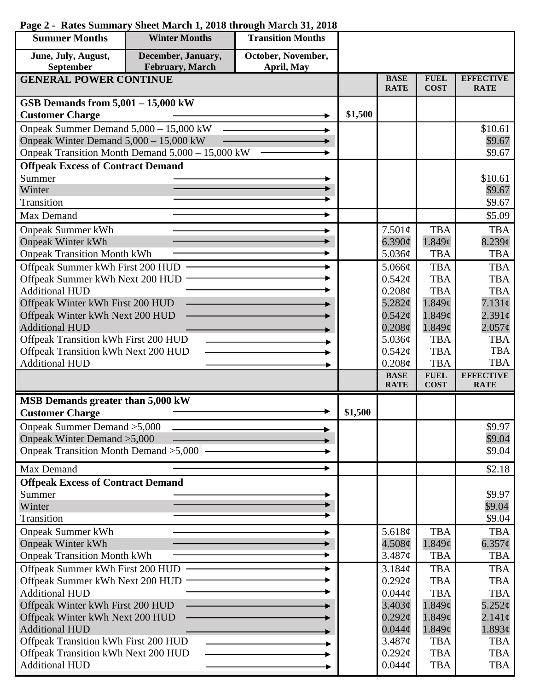| <b>Summer Months</b>                                     | <b>Winter Months</b>                             | <b>Transition Months</b>         |         |                            |                            |                                 |
|----------------------------------------------------------|--------------------------------------------------|----------------------------------|---------|----------------------------|----------------------------|---------------------------------|
| June, July, August,<br>September                         | December, January,<br>February, March            | October, November,<br>April, May |         |                            |                            |                                 |
| <b>GENERAL POWER CONTINUE</b>                            |                                                  |                                  |         | <b>BASE</b><br><b>RATE</b> | <b>FUEL</b><br><b>COST</b> | <b>EFFECTIVE</b><br><b>RATE</b> |
| GSB Demands from $5,001 - 15,000$ kW                     |                                                  |                                  |         |                            |                            |                                 |
| <b>Customer Charge</b>                                   |                                                  |                                  | \$1,500 |                            |                            |                                 |
| Onpeak Summer Demand 5,000 - 15,000 kW                   |                                                  |                                  |         |                            |                            | \$10.61                         |
| Onpeak Winter Demand 5,000 - 15,000 kW                   |                                                  |                                  |         |                            |                            | \$9.67                          |
|                                                          | Onpeak Transition Month Demand 5,000 - 15,000 kW |                                  |         |                            |                            | \$9.67                          |
| <b>Offpeak Excess of Contract Demand</b>                 |                                                  |                                  |         |                            |                            |                                 |
| Summer                                                   |                                                  |                                  |         |                            |                            | \$10.61                         |
| Winter                                                   |                                                  |                                  |         |                            |                            | \$9.67                          |
| Transition                                               |                                                  |                                  |         |                            |                            | \$9.67                          |
| Max Demand                                               |                                                  |                                  |         |                            |                            | \$5.09                          |
| <b>Onpeak Summer kWh</b>                                 |                                                  |                                  |         | 7.501¢                     | <b>TBA</b>                 | <b>TBA</b>                      |
| <b>Onpeak Winter kWh</b>                                 |                                                  |                                  |         | 6.390¢                     | 1.849¢                     | $8.239$ ¢                       |
| <b>Onpeak Transition Month kWh</b>                       |                                                  |                                  |         | 5.036¢                     | <b>TBA</b>                 | <b>TBA</b>                      |
| Offpeak Summer kWh First 200 HUD ·                       |                                                  |                                  |         | 5.066¢                     | <b>TBA</b>                 | <b>TBA</b>                      |
| Offpeak Summer kWh Next 200 HUD                          |                                                  |                                  |         | 0.542¢                     | <b>TBA</b>                 | <b>TBA</b>                      |
| <b>Additional HUD</b>                                    |                                                  |                                  |         | 0.208¢                     | <b>TBA</b>                 | <b>TBA</b>                      |
| Offpeak Winter kWh First 200 HUD                         |                                                  |                                  |         | 5.282¢                     | 1.849 <sub>¢</sub>         | 7.131¢                          |
| Offpeak Winter kWh Next 200 HUD                          |                                                  |                                  |         | $0.542\mathcal{C}$         | 1.849 <sub>¢</sub>         | 2.391 <sub>c</sub>              |
| <b>Additional HUD</b>                                    |                                                  |                                  |         | $0.208\phi$                | 1.849 <sub>¢</sub>         | $2.057\phi$                     |
| Offpeak Transition kWh First 200 HUD                     |                                                  |                                  |         | 5.036¢                     | <b>TBA</b>                 | <b>TBA</b>                      |
| Offpeak Transition kWh Next 200 HUD                      |                                                  |                                  |         | 0.542¢                     | <b>TBA</b>                 | <b>TBA</b><br><b>TBA</b>        |
| <b>Additional HUD</b>                                    |                                                  |                                  |         | 0.208c<br><b>BASE</b>      | <b>TBA</b><br><b>FUEL</b>  | <b>EFFECTIVE</b>                |
|                                                          |                                                  |                                  |         | <b>RATE</b>                | <b>COST</b>                | <b>RATE</b>                     |
| MSB Demands greater than 5,000 kW                        |                                                  |                                  |         |                            |                            |                                 |
| <b>Customer Charge</b>                                   |                                                  |                                  | \$1,500 |                            |                            |                                 |
| Onpeak Summer Demand > 5,000                             |                                                  |                                  |         |                            |                            | \$9.97                          |
| Onpeak Winter Demand > 5,000                             |                                                  |                                  |         |                            |                            | \$9.04                          |
| Onpeak Transition Month Demand > 5,000 -                 |                                                  |                                  |         |                            |                            | \$9.04                          |
| Max Demand                                               |                                                  |                                  |         |                            |                            | \$2.18                          |
| <b>Offpeak Excess of Contract Demand</b>                 |                                                  |                                  |         |                            |                            |                                 |
| Summer                                                   |                                                  |                                  |         |                            |                            | \$9.97                          |
| Winter                                                   |                                                  |                                  |         |                            |                            | \$9.04                          |
| Transition                                               |                                                  |                                  |         |                            |                            | \$9.04                          |
| <b>Onpeak Summer kWh</b>                                 |                                                  |                                  |         | 5.618 $\phi$               | <b>TBA</b>                 | <b>TBA</b>                      |
| <b>Onpeak Winter kWh</b>                                 |                                                  |                                  |         | $4.508\phi$                | 1.849¢                     | 6.357 $\phi$                    |
| <b>Onpeak Transition Month kWh</b>                       |                                                  |                                  |         | 3.487¢                     | <b>TBA</b>                 | <b>TBA</b>                      |
| Offpeak Summer kWh First 200 HUD                         |                                                  |                                  |         | 3.184¢                     | <b>TBA</b>                 | <b>TBA</b>                      |
| Offpeak Summer kWh Next 200 HUD<br><b>Additional HUD</b> |                                                  |                                  |         | $0.292\mathcal{C}$         | <b>TBA</b><br><b>TBA</b>   | <b>TBA</b><br><b>TBA</b>        |
| Offpeak Winter kWh First 200 HUD                         |                                                  |                                  |         | $0.044\phi$<br>3.403¢      | 1.849 <sub>¢</sub>         | $5.252\sigma$                   |
| Offpeak Winter kWh Next 200 HUD                          |                                                  |                                  |         | $0.292\ell$                | 1.849¢                     | $2.141\phi$                     |
| <b>Additional HUD</b>                                    |                                                  |                                  |         | $0.044\phi$                | 1.849¢                     | 1.893¢                          |
| Offpeak Transition kWh First 200 HUD                     |                                                  |                                  |         | 3.487¢                     | <b>TBA</b>                 | <b>TBA</b>                      |
| Offpeak Transition kWh Next 200 HUD                      |                                                  |                                  |         | $0.292\ell$                | <b>TBA</b>                 | <b>TBA</b>                      |
| <b>Additional HUD</b>                                    |                                                  |                                  |         | $0.044\phi$                | <b>TBA</b>                 | <b>TBA</b>                      |

## **Page 2 - Rates Summary Sheet March 1, 2018 through March 31, 2018**